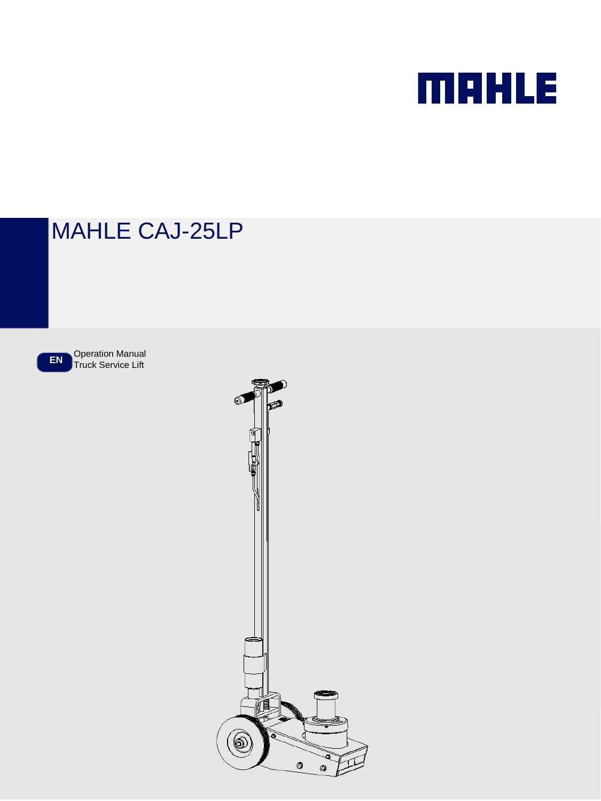

# MAHLE CAJ-25LP

**EN** Operation Manual Truck Service Lift

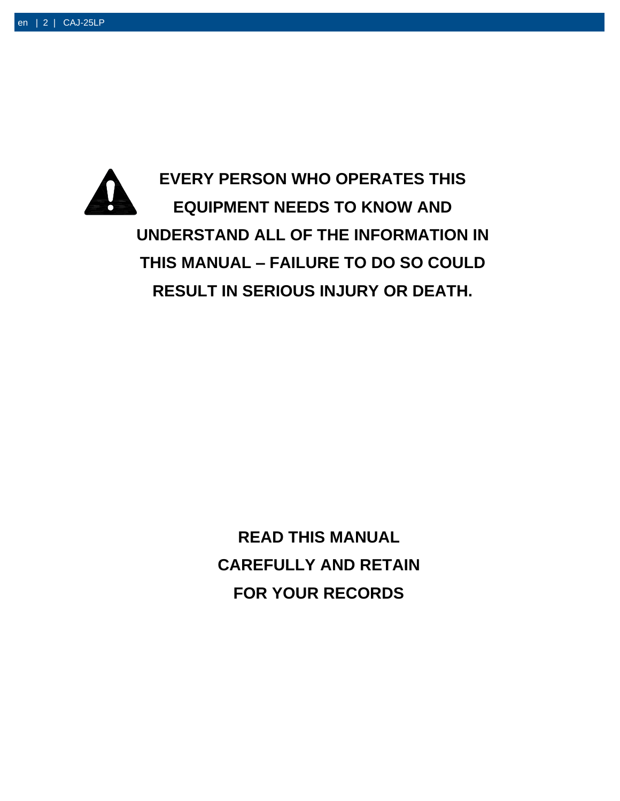

**READ THIS MANUAL CAREFULLY AND RETAIN FOR YOUR RECORDS**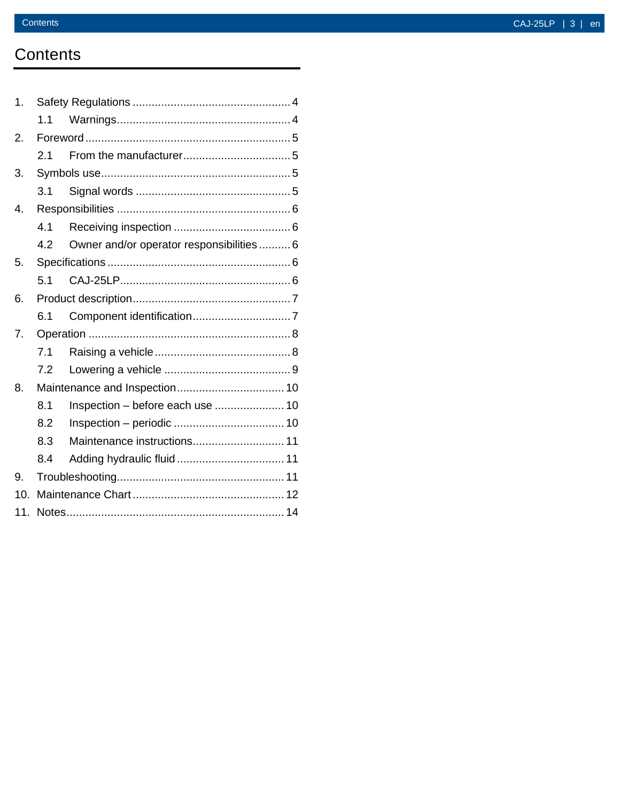## **Contents**

| 1.             |     |                                           |  |
|----------------|-----|-------------------------------------------|--|
|                | 1.1 |                                           |  |
| 2.             |     |                                           |  |
|                | 2.1 |                                           |  |
| 3.             |     |                                           |  |
|                | 3.1 |                                           |  |
| 4.             |     |                                           |  |
|                | 4.1 |                                           |  |
|                | 4.2 | Owner and/or operator responsibilities  6 |  |
| 5.             |     |                                           |  |
|                | 5.1 |                                           |  |
| 6.             |     |                                           |  |
|                | 6.1 |                                           |  |
| 7 <sub>1</sub> |     |                                           |  |
|                | 7.1 |                                           |  |
|                | 7.2 |                                           |  |
| 8.             |     |                                           |  |
|                | 8.1 | Inspection - before each use  10          |  |
|                | 8.2 |                                           |  |
|                | 8.3 | Maintenance instructions 11               |  |
|                | 8.4 |                                           |  |
| 9.             |     |                                           |  |
| 10.            |     |                                           |  |
| 11.            |     |                                           |  |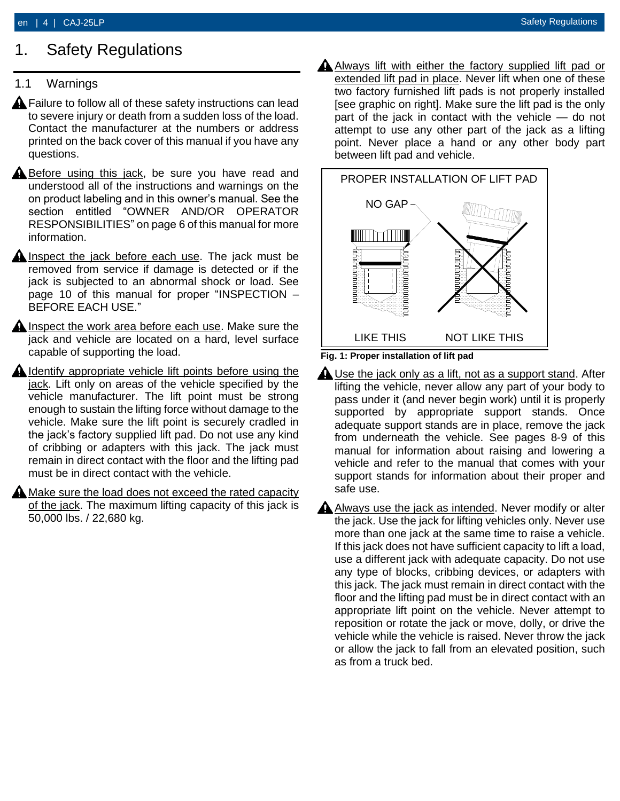### <span id="page-3-0"></span>1. Safety Regulations

### <span id="page-3-1"></span>1.1 Warnings

- **A** Failure to follow all of these safety instructions can lead to severe injury or death from a sudden loss of the load. Contact the manufacturer at the numbers or address printed on the back cover of this manual if you have any questions.
- **A** Before using this jack, be sure you have read and understood all of the instructions and warnings on the on product labeling and in this owner's manual. See the section entitled "OWNER AND/OR OPERATOR RESPONSIBILITIES" on page 6 of this manual for more information.
- **A** Inspect the jack before each use. The jack must be removed from service if damage is detected or if the jack is subjected to an abnormal shock or load. See page 10 of this manual for proper "INSPECTION – BEFORE EACH USE."
- $\triangle$  Inspect the work area before each use. Make sure the jack and vehicle are located on a hard, level surface capable of supporting the load.
- $\triangle$  Identify appropriate vehicle lift points before using the jack. Lift only on areas of the vehicle specified by the vehicle manufacturer. The lift point must be strong enough to sustain the lifting force without damage to the vehicle. Make sure the lift point is securely cradled in the jack's factory supplied lift pad. Do not use any kind of cribbing or adapters with this jack. The jack must remain in direct contact with the floor and the lifting pad must be in direct contact with the vehicle.
- Make sure the load does not exceed the rated capacity of the jack. The maximum lifting capacity of this jack is 50,000 lbs. / 22,680 kg.

A Always lift with either the factory supplied lift pad or extended lift pad in place. Never lift when one of these two factory furnished lift pads is not properly installed [see graphic on right]. Make sure the lift pad is the only part of the jack in contact with the vehicle — do not attempt to use any other part of the jack as a lifting point. Never place a hand or any other body part between lift pad and vehicle.



- **Fig. 1: Proper installation of lift pad**
- $\triangle$  Use the jack only as a lift, not as a support stand. After lifting the vehicle, never allow any part of your body to pass under it (and never begin work) until it is properly supported by appropriate support stands. Once adequate support stands are in place, remove the jack from underneath the vehicle. See pages 8-9 of this manual for information about raising and lowering a vehicle and refer to the manual that comes with your support stands for information about their proper and safe use.
- $\triangle$  Always use the jack as intended. Never modify or alter the jack. Use the jack for lifting vehicles only. Never use more than one jack at the same time to raise a vehicle. If this jack does not have sufficient capacity to lift a load, use a different jack with adequate capacity. Do not use any type of blocks, cribbing devices, or adapters with this jack. The jack must remain in direct contact with the floor and the lifting pad must be in direct contact with an appropriate lift point on the vehicle. Never attempt to reposition or rotate the jack or move, dolly, or drive the vehicle while the vehicle is raised. Never throw the jack or allow the jack to fall from an elevated position, such as from a truck bed.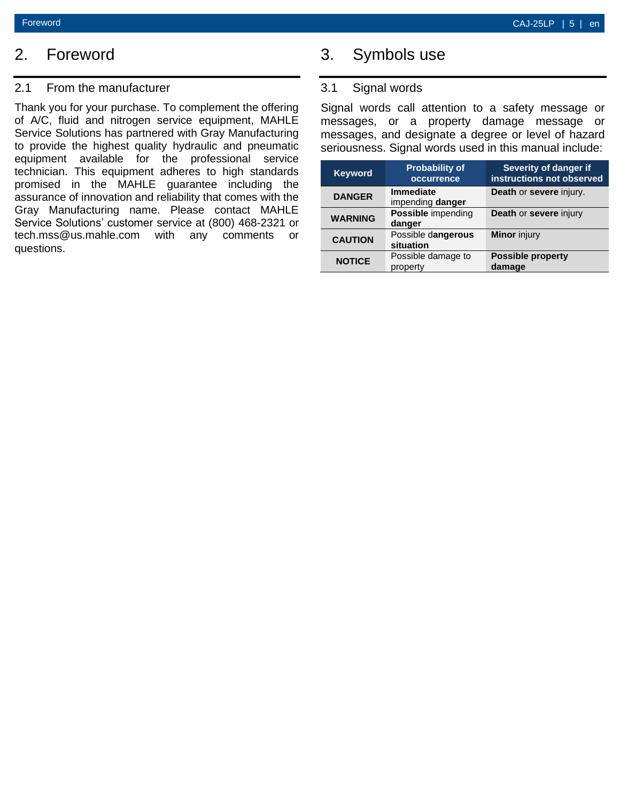### <span id="page-4-0"></span>2. Foreword

#### <span id="page-4-1"></span>2.1 From the manufacturer

Thank you for your purchase. To complement the offering of A/C, fluid and nitrogen service equipment, MAHLE Service Solutions has partnered with Gray Manufacturing to provide the highest quality hydraulic and pneumatic equipment available for the professional service technician. This equipment adheres to high standards promised in the MAHLE guarantee including the assurance of innovation and reliability that comes with the Gray Manufacturing name. Please contact MAHLE Service Solutions' customer service at (800) 468-2321 or tech.mss@us.mahle.com with any comments or questions.

## <span id="page-4-2"></span>3. Symbols use

### <span id="page-4-3"></span>3.1 Signal words

Signal words call attention to a safety message or messages, or a property damage message or messages, and designate a degree or level of hazard seriousness. Signal words used in this manual include:

| <b>Keyword</b> | <b>Probability of</b><br>occurrence  | Severity of danger if<br>instructions not observed |
|----------------|--------------------------------------|----------------------------------------------------|
| <b>DANGER</b>  | <b>Immediate</b><br>impending danger | Death or severe injury.                            |
| <b>WARNING</b> | <b>Possible</b> impending<br>danger  | Death or severe injury                             |
| <b>CAUTION</b> | Possible dangerous<br>situation      | <b>Minor</b> injury                                |
| <b>NOTICE</b>  | Possible damage to<br>property       | <b>Possible property</b><br>damage                 |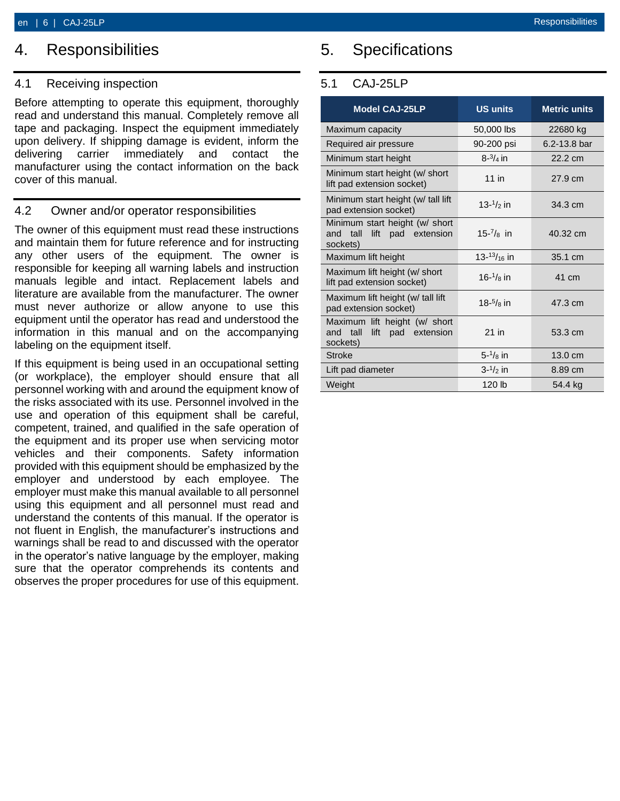### <span id="page-5-0"></span>4. Responsibilities

### <span id="page-5-1"></span>4.1 Receiving inspection

Before attempting to operate this equipment, thoroughly read and understand this manual. Completely remove all tape and packaging. Inspect the equipment immediately upon delivery. If shipping damage is evident, inform the delivering carrier immediately and contact the manufacturer using the contact information on the back cover of this manual.

### <span id="page-5-2"></span>4.2 Owner and/or operator responsibilities

The owner of this equipment must read these instructions and maintain them for future reference and for instructing any other users of the equipment. The owner is responsible for keeping all warning labels and instruction manuals legible and intact. Replacement labels and literature are available from the manufacturer. The owner must never authorize or allow anyone to use this equipment until the operator has read and understood the information in this manual and on the accompanying labeling on the equipment itself.

If this equipment is being used in an occupational setting (or workplace), the employer should ensure that all personnel working with and around the equipment know of the risks associated with its use. Personnel involved in the use and operation of this equipment shall be careful, competent, trained, and qualified in the safe operation of the equipment and its proper use when servicing motor vehicles and their components. Safety information provided with this equipment should be emphasized by the employer and understood by each employee. The employer must make this manual available to all personnel using this equipment and all personnel must read and understand the contents of this manual. If the operator is not fluent in English, the manufacturer's instructions and warnings shall be read to and discussed with the operator in the operator's native language by the employer, making sure that the operator comprehends its contents and observes the proper procedures for use of this equipment.

## <span id="page-5-3"></span>5. Specifications

### <span id="page-5-4"></span>5.1 CAJ-25LP

| <b>Model CAJ-25LP</b>                                                     | <b>US units</b>          | <b>Metric units</b> |
|---------------------------------------------------------------------------|--------------------------|---------------------|
| Maximum capacity                                                          | 50,000 lbs               | 22680 kg            |
| Required air pressure                                                     | 90-200 psi               | $6.2 - 13.8$ bar    |
| Minimum start height                                                      | $8 - \frac{3}{4}$ in     | 22.2 cm             |
| Minimum start height (w/ short<br>lift pad extension socket)              | $11$ in                  | 27.9 cm             |
| Minimum start height (w/ tall lift<br>pad extension socket)               | 13- $\frac{1}{2}$ in     | 34.3 cm             |
| Minimum start height (w/ short<br>and tall lift pad extension<br>sockets) | $15 - \frac{7}{8}$ in    | 40.32 cm            |
| Maximum lift height                                                       | $13 - \frac{13}{16}$ in  | 35.1 cm             |
| Maximum lift height (w/ short<br>lift pad extension socket)               | $16-1$ / <sub>8</sub> in | 41 cm               |
| Maximum lift height (w/ tall lift<br>pad extension socket)                | $18-^{5}/_8$ in          | 47.3 cm             |
| Maximum lift height (w/ short<br>and tall lift pad extension<br>sockets)  | $21$ in                  | 53.3 cm             |
| <b>Stroke</b>                                                             | $5 - \frac{1}{8}$ in     | $13.0 \text{ cm}$   |
| Lift pad diameter                                                         | $3 - \frac{1}{2}$ in     | 8.89 cm             |
| Weight                                                                    | 120 lb                   | 54.4 kg             |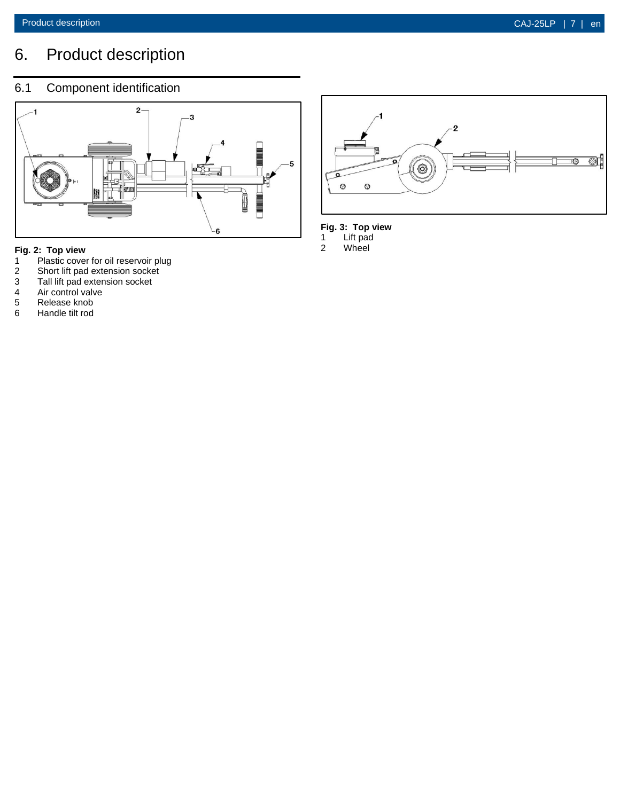## <span id="page-6-0"></span>6. Product description

### <span id="page-6-1"></span>6.1 Component identification



## **Fig. 2: Top view**

- 1 Plastic cover for oil reservoir plug<br>
2 Short lift pad extension socket<br>
3 Tall lift pad extension socket<br>
4 Air control valve<br>
5 Release knob<br>
6 Handle tilt rod
- Short lift pad extension socket
- Tall lift pad extension socket
- Air control valve
- Release knob
- 6 Handle tilt rod



#### **Fig. 3: Top view**

1 Lift pad 2 Wheel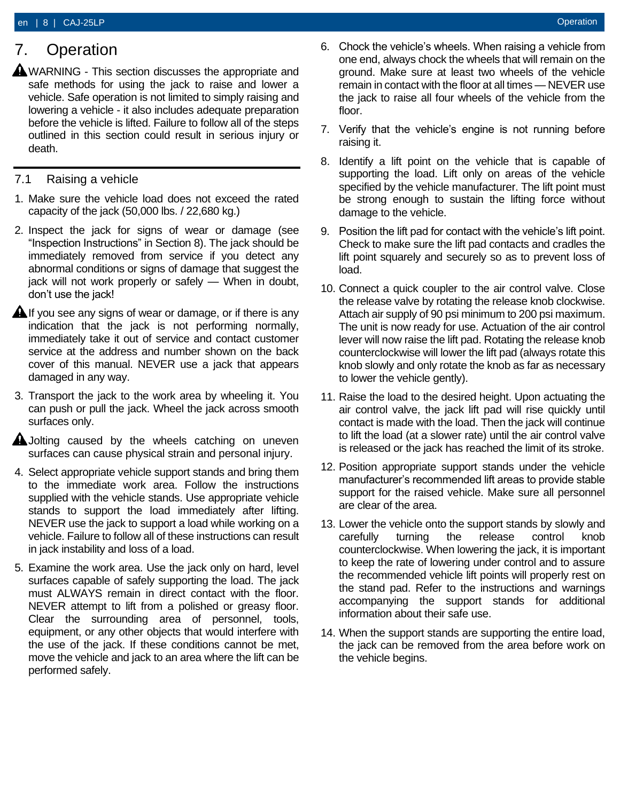## <span id="page-7-0"></span>7. Operation

 $\triangle$  WARNING - This section discusses the appropriate and safe methods for using the jack to raise and lower a vehicle. Safe operation is not limited to simply raising and lowering a vehicle - it also includes adequate preparation before the vehicle is lifted. Failure to follow all of the steps outlined in this section could result in serious injury or death.

### <span id="page-7-1"></span>7.1 Raising a vehicle

- 1. Make sure the vehicle load does not exceed the rated capacity of the jack (50,000 lbs. / 22,680 kg.)
- 2. Inspect the jack for signs of wear or damage (see "Inspection Instructions" in Section 8). The jack should be immediately removed from service if you detect any abnormal conditions or signs of damage that suggest the jack will not work properly or safely — When in doubt, don't use the jack!
- $\triangle$  If you see any signs of wear or damage, or if there is any indication that the jack is not performing normally, immediately take it out of service and contact customer service at the address and number shown on the back cover of this manual. NEVER use a jack that appears damaged in any way.
- 3. Transport the jack to the work area by wheeling it. You can push or pull the jack. Wheel the jack across smooth surfaces only.
- **A** Jolting caused by the wheels catching on uneven surfaces can cause physical strain and personal injury.
- 4. Select appropriate vehicle support stands and bring them to the immediate work area. Follow the instructions supplied with the vehicle stands. Use appropriate vehicle stands to support the load immediately after lifting. NEVER use the jack to support a load while working on a vehicle. Failure to follow all of these instructions can result in jack instability and loss of a load.
- 5. Examine the work area. Use the jack only on hard, level surfaces capable of safely supporting the load. The jack must ALWAYS remain in direct contact with the floor. NEVER attempt to lift from a polished or greasy floor. Clear the surrounding area of personnel, tools, equipment, or any other objects that would interfere with the use of the jack. If these conditions cannot be met, move the vehicle and jack to an area where the lift can be performed safely.
- 6. Chock the vehicle's wheels. When raising a vehicle from one end, always chock the wheels that will remain on the ground. Make sure at least two wheels of the vehicle remain in contact with the floor at all times — NEVER use the jack to raise all four wheels of the vehicle from the floor.
- 7. Verify that the vehicle's engine is not running before raising it.
- 8. Identify a lift point on the vehicle that is capable of supporting the load. Lift only on areas of the vehicle specified by the vehicle manufacturer. The lift point must be strong enough to sustain the lifting force without damage to the vehicle.
- 9. Position the lift pad for contact with the vehicle's lift point. Check to make sure the lift pad contacts and cradles the lift point squarely and securely so as to prevent loss of load.
- 10. Connect a quick coupler to the air control valve. Close the release valve by rotating the release knob clockwise. Attach air supply of 90 psi minimum to 200 psi maximum. The unit is now ready for use. Actuation of the air control lever will now raise the lift pad. Rotating the release knob counterclockwise will lower the lift pad (always rotate this knob slowly and only rotate the knob as far as necessary to lower the vehicle gently).
- 11. Raise the load to the desired height. Upon actuating the air control valve, the jack lift pad will rise quickly until contact is made with the load. Then the jack will continue to lift the load (at a slower rate) until the air control valve is released or the jack has reached the limit of its stroke.
- 12. Position appropriate support stands under the vehicle manufacturer's recommended lift areas to provide stable support for the raised vehicle. Make sure all personnel are clear of the area.
- 13. Lower the vehicle onto the support stands by slowly and carefully turning the release control knob counterclockwise. When lowering the jack, it is important to keep the rate of lowering under control and to assure the recommended vehicle lift points will properly rest on the stand pad. Refer to the instructions and warnings accompanying the support stands for additional information about their safe use.
- 14. When the support stands are supporting the entire load, the jack can be removed from the area before work on the vehicle begins.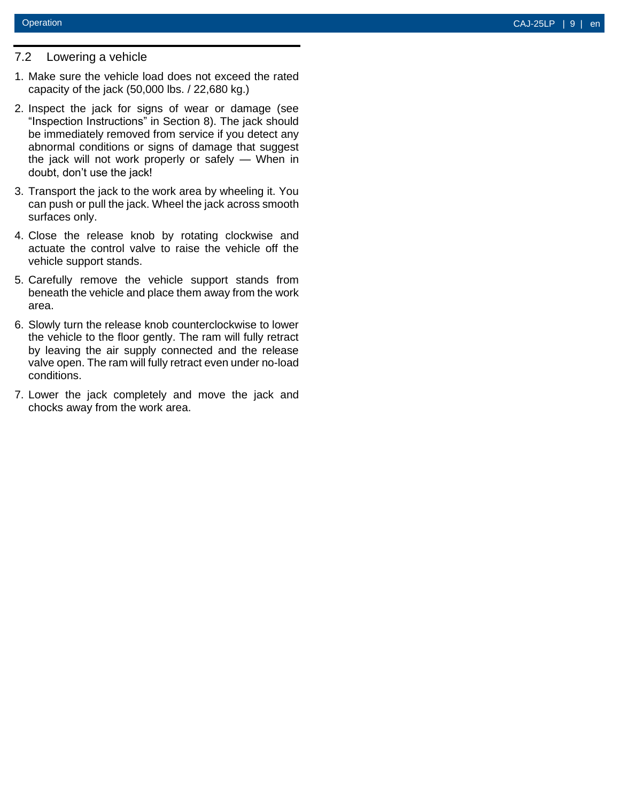### <span id="page-8-0"></span>7.2 Lowering a vehicle

- 1. Make sure the vehicle load does not exceed the rated capacity of the jack (50,000 lbs. / 22,680 kg.)
- 2. Inspect the jack for signs of wear or damage (see "Inspection Instructions" in Section 8). The jack should be immediately removed from service if you detect any abnormal conditions or signs of damage that suggest the jack will not work properly or safely — When in doubt, don't use the jack!
- 3. Transport the jack to the work area by wheeling it. You can push or pull the jack. Wheel the jack across smooth surfaces only.
- 4. Close the release knob by rotating clockwise and actuate the control valve to raise the vehicle off the vehicle support stands.
- 5. Carefully remove the vehicle support stands from beneath the vehicle and place them away from the work area .
- 6. Slowly turn the release knob counterclockwise to lower the vehicle to the floor gently. The ram will fully retract by leaving the air supply connected and the release valve open. The ram will fully retract even under no -load conditions.
- 7. Lower the jack completely and move the jack and chocks away from the work area.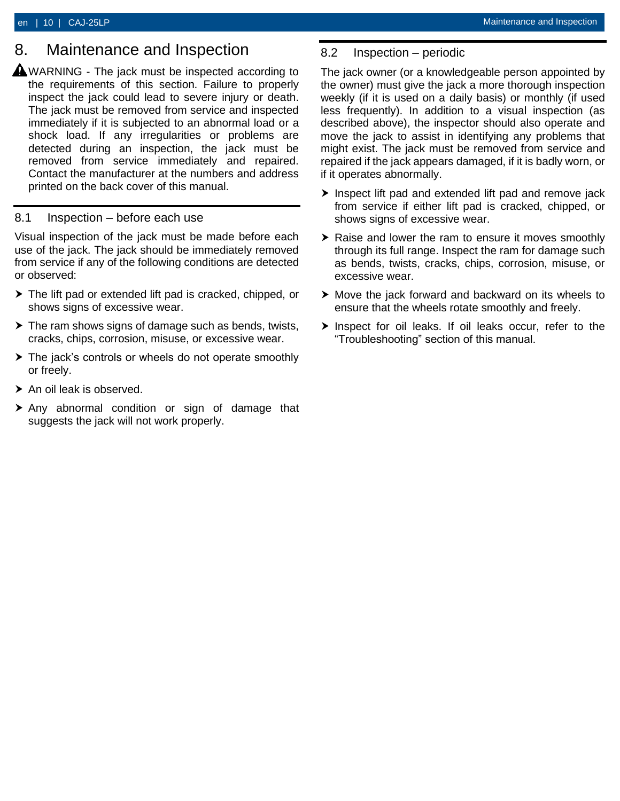### <span id="page-9-0"></span>8. Maintenance and Inspection

**A**WARNING - The jack must be inspected according to the requirements of this section. Failure to properly inspect the jack could lead to severe injury or death. The jack must be removed from service and inspected immediately if it is subjected to an abnormal load or a shock load. If any irregularities or problems are detected during an inspection, the jack must be removed from service immediately and repaired. Contact the manufacturer at the numbers and address printed on the back cover of this manual.

#### <span id="page-9-1"></span>8.1 Inspection – before each use

Visual inspection of the jack must be made before each use of the jack. The jack should be immediately removed from service if any of the following conditions are detected or observed:

- The lift pad or extended lift pad is cracked, chipped, or shows signs of excessive wear.
- $\triangleright$  The ram shows signs of damage such as bends, twists, cracks, chips, corrosion, misuse, or excessive wear.
- ▶ The jack's controls or wheels do not operate smoothly or freely.
- ▶ An oil leak is observed.
- Any abnormal condition or sign of damage that suggests the jack will not work properly.

### <span id="page-9-2"></span>8.2 Inspection – periodic

The jack owner (or a knowledgeable person appointed by the owner) must give the jack a more thorough inspection weekly (if it is used on a daily basis) or monthly (if used less frequently). In addition to a visual inspection (as described above), the inspector should also operate and move the jack to assist in identifying any problems that might exist. The jack must be removed from service and repaired if the jack appears damaged, if it is badly worn, or if it operates abnormally.

- $\blacktriangleright$  Inspect lift pad and extended lift pad and remove jack from service if either lift pad is cracked, chipped, or shows signs of excessive wear.
- ▶ Raise and lower the ram to ensure it moves smoothly through its full range. Inspect the ram for damage such as bends, twists, cracks, chips, corrosion, misuse, or excessive wear.
- Move the jack forward and backward on its wheels to ensure that the wheels rotate smoothly and freely.
- $\triangleright$  Inspect for oil leaks. If oil leaks occur, refer to the "Troubleshooting" section of this manual.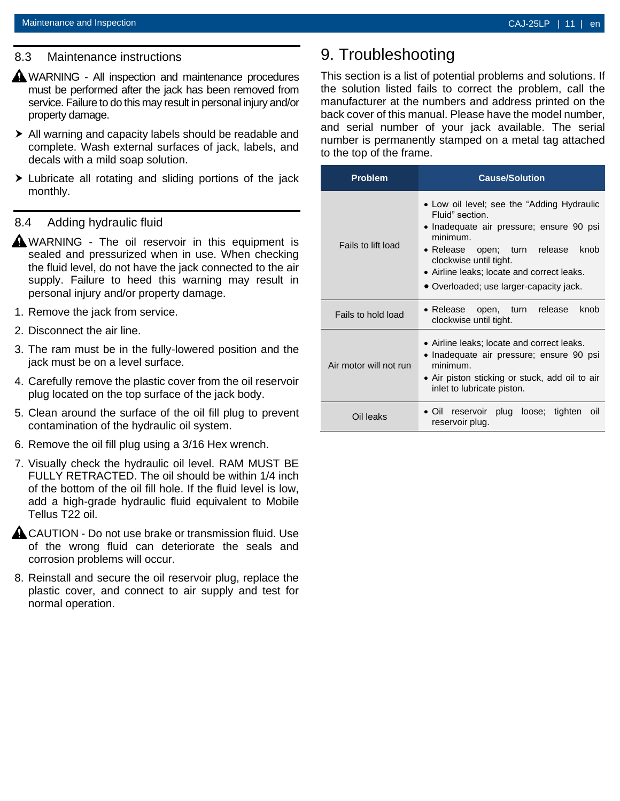#### <span id="page-10-0"></span>8.3 Maintenance instructions

- **A** WARNING All inspection and maintenance procedures must be performed after the jack has been removed from service. Failure to do this may result in personal injury and/or property damage.
- All warning and capacity labels should be readable and complete. Wash external surfaces of jack, labels, and decals with a mild soap solution.
- Lubricate all rotating and sliding portions of the jack monthly.

#### <span id="page-10-1"></span>8.4 Adding hydraulic fluid

- **A**WARNING The oil reservoir in this equipment is sealed and pressurized when in use. When checking the fluid level, do not have the jack connected to the air supply. Failure to heed this warning may result in personal injury and/or property damage.
- 1. Remove the jack from service.
- 2. Disconnect the air line.
- 3. The ram must be in the fully-lowered position and the jack must be on a level surface.
- 4. Carefully remove the plastic cover from the oil reservoir plug located on the top surface of the jack body.
- 5. Clean around the surface of the oil fill plug to prevent contamination of the hydraulic oil system.
- 6. Remove the oil fill plug using a 3/16 Hex wrench.
- 7. Visually check the hydraulic oil level. RAM MUST BE FULLY RETRACTED. The oil should be within 1/4 inch of the bottom of the oil fill hole. If the fluid level is low, add a high-grade hydraulic fluid equivalent to Mobile Tellus T22 oil.
- **A CAUTION Do not use brake or transmission fluid. Use** of the wrong fluid can deteriorate the seals and corrosion problems will occur.
- 8. Reinstall and secure the oil reservoir plug, replace the plastic cover, and connect to air supply and test for normal operation.

## <span id="page-10-2"></span>9. Troubleshooting

This section is a list of potential problems and solutions. If the solution listed fails to correct the problem, call the manufacturer at the numbers and address printed on the back cover of this manual. Please have the model number, and serial number of your jack available. The serial number is permanently stamped on a metal tag attached to the top of the frame.

| <b>Problem</b>         | <b>Cause/Solution</b>                                                                                                                                                                                                                                                            |  |
|------------------------|----------------------------------------------------------------------------------------------------------------------------------------------------------------------------------------------------------------------------------------------------------------------------------|--|
| Fails to lift load     | • Low oil level; see the "Adding Hydraulic"<br>Fluid" section.<br>• Inadequate air pressure; ensure 90 psi<br>minimum<br>knob<br>• Release open; turn release<br>clockwise until tight.<br>• Airline leaks; locate and correct leaks.<br>• Overloaded; use larger-capacity jack. |  |
| Fails to hold load     | • Release open, turn<br>release<br>knob<br>clockwise until tight.                                                                                                                                                                                                                |  |
| Air motor will not run | • Airline leaks; locate and correct leaks.<br>• Inadequate air pressure; ensure 90 psi<br>minimum.<br>• Air piston sticking or stuck, add oil to air<br>inlet to lubricate piston.                                                                                               |  |
| Oil leaks              | reservoir plug loose; tighten<br>$\bullet$ Oil<br>oil<br>reservoir plug.                                                                                                                                                                                                         |  |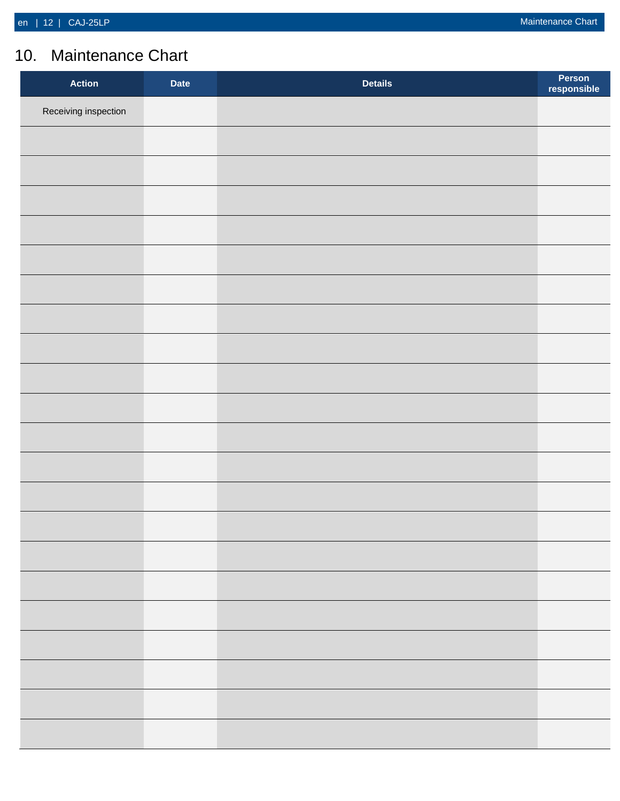## <span id="page-11-0"></span>10. Maintenance Chart

| <b>Action</b>        | <b>Date</b> | <b>Details</b> | Person<br>responsible |
|----------------------|-------------|----------------|-----------------------|
| Receiving inspection |             |                |                       |
|                      |             |                |                       |
|                      |             |                |                       |
|                      |             |                |                       |
|                      |             |                |                       |
|                      |             |                |                       |
|                      |             |                |                       |
|                      |             |                |                       |
|                      |             |                |                       |
|                      |             |                |                       |
|                      |             |                |                       |
|                      |             |                |                       |
|                      |             |                |                       |
|                      |             |                |                       |
|                      |             |                |                       |
|                      |             |                |                       |
|                      |             |                |                       |
|                      |             |                |                       |
|                      |             |                |                       |
|                      |             |                |                       |
|                      |             |                |                       |
|                      |             |                |                       |
|                      |             |                |                       |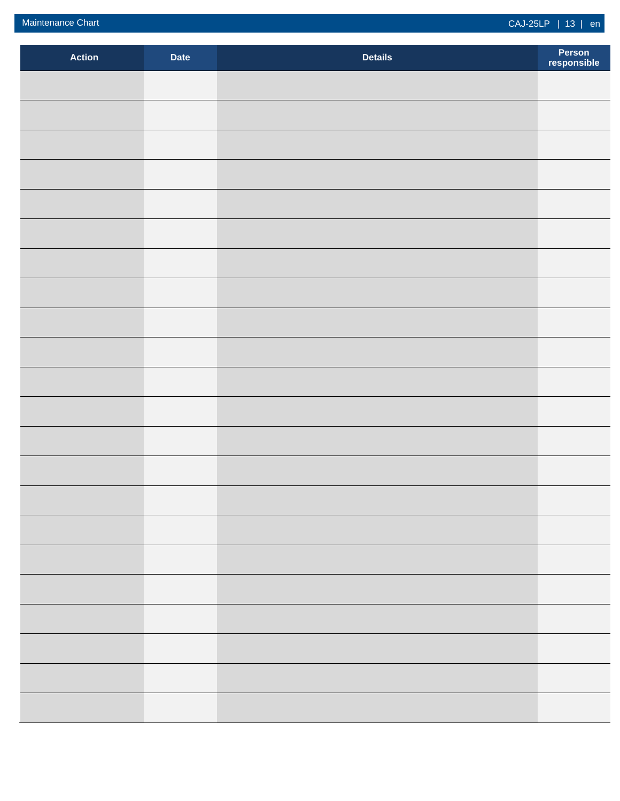| <b>Action</b> | <b>Date</b> | <b>Details</b> | Person<br>responsible |
|---------------|-------------|----------------|-----------------------|
|               |             |                |                       |
|               |             |                |                       |
|               |             |                |                       |
|               |             |                |                       |
|               |             |                |                       |
|               |             |                |                       |
|               |             |                |                       |
|               |             |                |                       |
|               |             |                |                       |
|               |             |                |                       |
|               |             |                |                       |
|               |             |                |                       |
|               |             |                |                       |
|               |             |                |                       |
|               |             |                |                       |
|               |             |                |                       |
|               |             |                |                       |
|               |             |                |                       |
|               |             |                |                       |
|               |             |                |                       |
|               |             |                |                       |
|               |             |                |                       |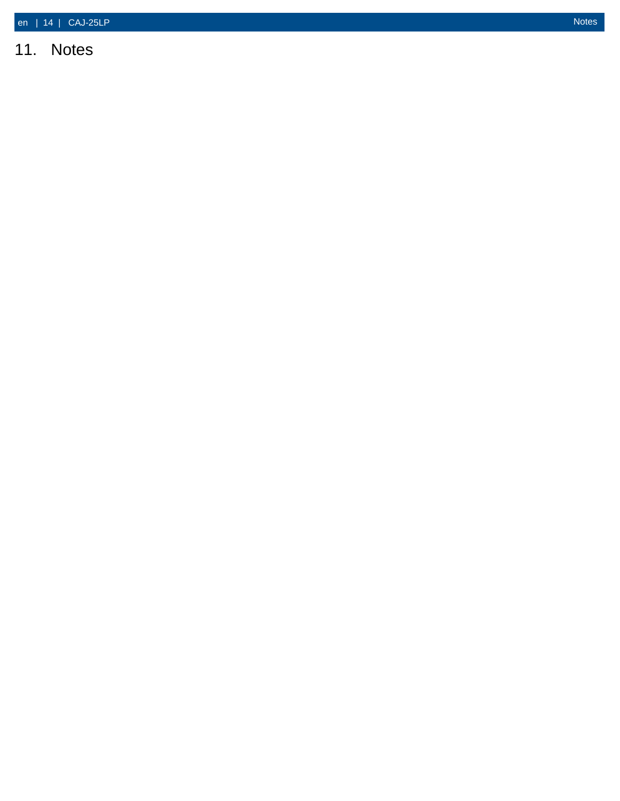## <span id="page-13-0"></span>11. Notes